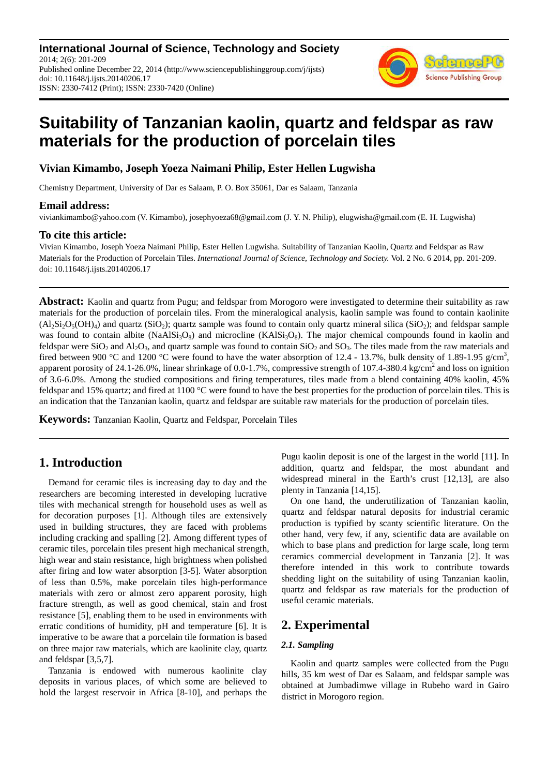**International Journal of Science, Technology and Society** 2014; 2(6): 201-209 Published online December 22, 2014 (http://www.sciencepublishinggroup.com/j/ijsts) doi: 10.11648/j.ijsts.20140206.17 ISSN: 2330-7412 (Print); ISSN: 2330-7420 (Online)



# **Suitability of Tanzanian kaolin, quartz and feldspar as raw materials for the production of porcelain tiles**

### **Vivian Kimambo, Joseph Yoeza Naimani Philip, Ester Hellen Lugwisha**

Chemistry Department, University of Dar es Salaam, P. O. Box 35061, Dar es Salaam, Tanzania

#### **Email address:**

viviankimambo@yahoo.com (V. Kimambo), josephyoeza68@gmail.com (J. Y. N. Philip), elugwisha@gmail.com (E. H. Lugwisha)

#### **To cite this article:**

Vivian Kimambo, Joseph Yoeza Naimani Philip, Ester Hellen Lugwisha. Suitability of Tanzanian Kaolin, Quartz and Feldspar as Raw Materials for the Production of Porcelain Tiles. *International Journal of Science, Technology and Society.* Vol. 2 No. 6 2014, pp. 201-209. doi: 10.11648/j.ijsts.20140206.17

**Abstract:** Kaolin and quartz from Pugu; and feldspar from Morogoro were investigated to determine their suitability as raw materials for the production of porcelain tiles. From the mineralogical analysis, kaolin sample was found to contain kaolinite  $(A<sub>1</sub>,Si<sub>2</sub>O<sub>5</sub>(OH)<sub>4</sub>)$  and quartz (SiO<sub>2</sub>); quartz sample was found to contain only quartz mineral silica (SiO<sub>2</sub>); and feldspar sample was found to contain albite (NaAlSi<sub>3</sub>O<sub>8</sub>) and microcline (KAlSi<sub>3</sub>O<sub>8</sub>). The major chemical compounds found in kaolin and feldspar were  $SiO<sub>2</sub>$  and  $Al<sub>2</sub>O<sub>3</sub>$ , and quartz sample was found to contain  $SiO<sub>2</sub>$  and  $SO<sub>3</sub>$ . The tiles made from the raw materials and fired between 900 °C and 1200 °C were found to have the water absorption of 12.4 - 13.7%, bulk density of 1.89-1.95  $g/cm^3$ , apparent porosity of 24.1-26.0%, linear shrinkage of 0.0-1.7%, compressive strength of 107.4-380.4 kg/cm<sup>2</sup> and loss on ignition of 3.6-6.0%. Among the studied compositions and firing temperatures, tiles made from a blend containing 40% kaolin, 45% feldspar and 15% quartz; and fired at 1100  $^{\circ}$ C were found to have the best properties for the production of porcelain tiles. This is an indication that the Tanzanian kaolin, quartz and feldspar are suitable raw materials for the production of porcelain tiles.

**Keywords:** Tanzanian Kaolin, Quartz and Feldspar, Porcelain Tiles

# **1. Introduction**

Demand for ceramic tiles is increasing day to day and the researchers are becoming interested in developing lucrative tiles with mechanical strength for household uses as well as for decoration purposes [1]. Although tiles are extensively used in building structures, they are faced with problems including cracking and spalling [2]. Among different types of ceramic tiles, porcelain tiles present high mechanical strength, high wear and stain resistance, high brightness when polished after firing and low water absorption [3-5]. Water absorption of less than 0.5%, make porcelain tiles high-performance materials with zero or almost zero apparent porosity, high fracture strength, as well as good chemical, stain and frost resistance [5], enabling them to be used in environments with erratic conditions of humidity, pH and temperature [6]. It is imperative to be aware that a porcelain tile formation is based on three major raw materials, which are kaolinite clay, quartz and feldspar [3,5,7].

Tanzania is endowed with numerous kaolinite clay deposits in various places, of which some are believed to hold the largest reservoir in Africa [8-10], and perhaps the Pugu kaolin deposit is one of the largest in the world [11]. In addition, quartz and feldspar, the most abundant and widespread mineral in the Earth's crust [12,13], are also plenty in Tanzania [14,15].

On one hand, the underutilization of Tanzanian kaolin, quartz and feldspar natural deposits for industrial ceramic production is typified by scanty scientific literature. On the other hand, very few, if any, scientific data are available on which to base plans and prediction for large scale, long term ceramics commercial development in Tanzania [2]. It was therefore intended in this work to contribute towards shedding light on the suitability of using Tanzanian kaolin, quartz and feldspar as raw materials for the production of useful ceramic materials.

# **2. Experimental**

#### *2.1. Sampling*

Kaolin and quartz samples were collected from the Pugu hills, 35 km west of Dar es Salaam, and feldspar sample was obtained at Jumbadimwe village in Rubeho ward in Gairo district in Morogoro region.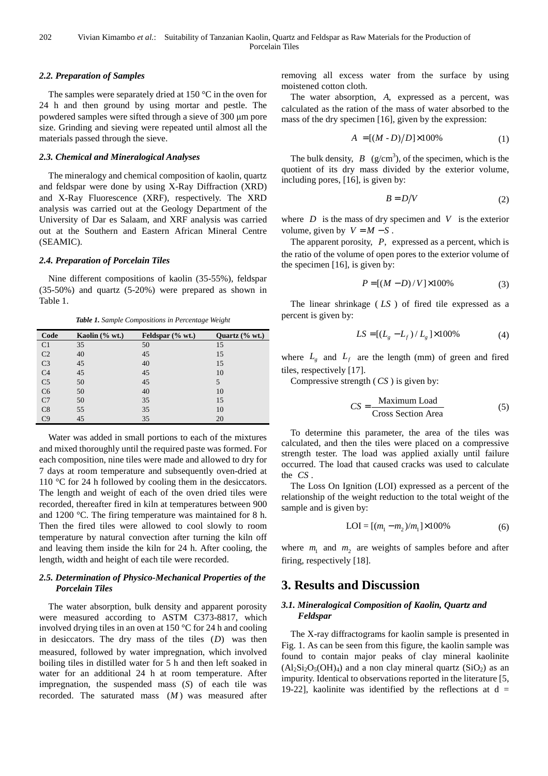#### *2.2. Preparation of Samples*

The samples were separately dried at 150 °C in the oven for 24 h and then ground by using mortar and pestle. The powdered samples were sifted through a sieve of 300 µm pore size. Grinding and sieving were repeated until almost all the materials passed through the sieve.

#### *2.3. Chemical and Mineralogical Analyses*

The mineralogy and chemical composition of kaolin, quartz and feldspar were done by using X-Ray Diffraction (XRD) and X-Ray Fluorescence (XRF), respectively. The XRD analysis was carried out at the Geology Department of the University of Dar es Salaam, and XRF analysis was carried out at the Southern and Eastern African Mineral Centre (SEAMIC).

#### *2.4. Preparation of Porcelain Tiles*

Nine different compositions of kaolin (35-55%), feldspar (35-50%) and quartz (5-20%) were prepared as shown in Table 1.

*Table 1. Sample Compositions in Percentage Weight* 

| Code           | Kaolin $(\%$ wt.) | Feldspar (% wt.) | Quartz $(\%$ wt.) |
|----------------|-------------------|------------------|-------------------|
| C <sub>1</sub> | 35                | 50               | 15                |
| C <sub>2</sub> | 40                | 45               | 15                |
| C <sub>3</sub> | 45                | 40               | 15                |
| C <sub>4</sub> | 45                | 45               | 10                |
| C <sub>5</sub> | 50                | 45               | 5                 |
| C <sub>6</sub> | 50                | 40               | 10                |
| C7             | 50                | 35               | 15                |
| C8             | 55                | 35               | 10                |
| C9             | 45                | 35               | 20                |

Water was added in small portions to each of the mixtures and mixed thoroughly until the required paste was formed. For each composition, nine tiles were made and allowed to dry for 7 days at room temperature and subsequently oven-dried at 110 °C for 24 h followed by cooling them in the desiccators. The length and weight of each of the oven dried tiles were recorded, thereafter fired in kiln at temperatures between 900 and 1200 °C. The firing temperature was maintained for 8 h. Then the fired tiles were allowed to cool slowly to room temperature by natural convection after turning the kiln off and leaving them inside the kiln for 24 h. After cooling, the length, width and height of each tile were recorded.

#### *2.5. Determination of Physico-Mechanical Properties of the Porcelain Tiles*

The water absorption, bulk density and apparent porosity were measured according to ASTM C373-8817, which involved drying tiles in an oven at 150 °C for 24 h and cooling in desiccators. The dry mass of the tiles  $(D)$  was then measured, followed by water impregnation, which involved boiling tiles in distilled water for 5 h and then left soaked in water for an additional 24 h at room temperature. After impregnation, the suspended mass (*S*) of each tile was recorded. The saturated mass  $(M)$  was measured after removing all excess water from the surface by using moistened cotton cloth.

The water absorption, *A*, expressed as a percent, was calculated as the ration of the mass of water absorbed to the mass of the dry specimen [16], given by the expression:

$$
A = [(M - D)/D] \times 100\%
$$
 (1)

The bulk density,  $B$  ( $g/cm<sup>3</sup>$ ), of the specimen, which is the quotient of its dry mass divided by the exterior volume, including pores, [16], is given by:

$$
B = D/V \tag{2}
$$

where  $D$  is the mass of dry specimen and  $V$  is the exterior volume, given by  $V = M - S$ .

The apparent porosity, *P*, expressed as a percent, which is the ratio of the volume of open pores to the exterior volume of the specimen [16], is given by:

$$
P = [(M - D) / V] \times 100\% \tag{3}
$$

The linear shrinkage ( *LS* ) of fired tile expressed as a percent is given by:

$$
LS = [(L_g - L_f) / L_g] \times 100\%
$$
 (4)

where  $L_g$  and  $L_f$  are the length (mm) of green and fired tiles, respectively [17].

Compressive strength (*CS* ) is given by:

$$
CS = \frac{\text{Maximum Load}}{\text{Cross Section Area}}\tag{5}
$$

To determine this parameter, the area of the tiles was calculated, and then the tiles were placed on a compressive strength tester. The load was applied axially until failure occurred. The load that caused cracks was used to calculate the *CS* .

The Loss On Ignition (LOI) expressed as a percent of the relationship of the weight reduction to the total weight of the sample and is given by:

$$
LOI = [(m_1 - m_2)/m_1] \times 100\%
$$
 (6)

where  $m_1$  and  $m_2$  are weights of samples before and after firing, respectively [18].

# **3. Results and Discussion**

#### *3.1. Mineralogical Composition of Kaolin, Quartz and Feldspar*

The X-ray diffractograms for kaolin sample is presented in Fig. 1. As can be seen from this figure, the kaolin sample was found to contain major peaks of clay mineral kaolinite  $(Al_2Si_2O_5(OH)_4)$  and a non clay mineral quartz  $(SiO_2)$  as an impurity. Identical to observations reported in the literature [5, 19-22], kaolinite was identified by the reflections at  $d =$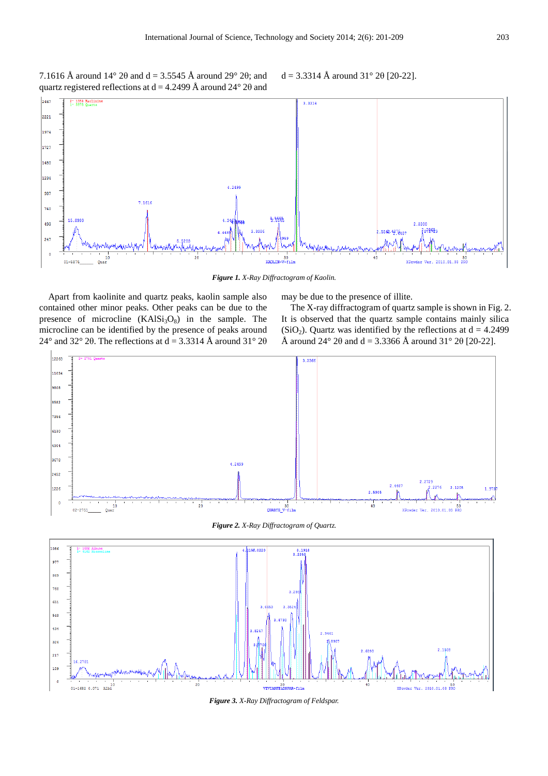7.1616 Å around  $14^{\circ}$  2 $\theta$  and  $d = 3.5545$  Å around  $29^{\circ}$  2 $\theta$ ; and quartz registered reflections at  $d = 4.2499 \text{ Å}$  around  $24^{\circ}$  20 and  $d = 3.3314 \text{ Å}$  around  $31^{\circ} 2\theta$  [20-22].



*Figure 1. X-Ray Diffractogram of Kaolin.* 

Apart from kaolinite and quartz peaks, kaolin sample also contained other minor peaks. Other peaks can be due to the presence of microcline  $(KAISi<sub>3</sub>O<sub>8</sub>)$  in the sample. The microcline can be identified by the presence of peaks around 24° and 32° 20. The reflections at  $d = 3.3314$  Å around 31° 20 may be due to the presence of illite.

The X-ray diffractogram of quartz sample is shown in Fig. 2. It is observed that the quartz sample contains mainly silica  $(SiO<sub>2</sub>)$ . Quartz was identified by the reflections at  $d = 4.2499$ Å around 24° 20 and d = 3.3366 Å around 31° 20 [20-22].



*Figure 3. X-Ray Diffractogram of Feldspar.*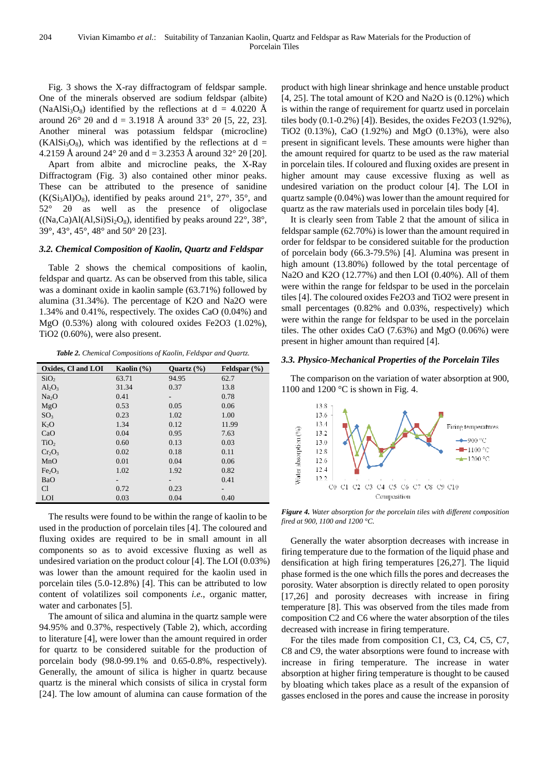Fig. 3 shows the X-ray diffractogram of feldspar sample. One of the minerals observed are sodium feldspar (albite) (NaAlSi<sub>3</sub>O<sub>8</sub>) identified by the reflections at  $d = 4.0220$  Å around  $26^{\circ}$  2θ and d = 3.1918 Å around 33° 2θ [5, 22, 23]. Another mineral was potassium feldspar (microcline)  $(KAISi<sub>3</sub>O<sub>8</sub>)$ , which was identified by the reflections at d = 4.2159 Å around 24° 20 and d = 3.2353 Å around 32° 20 [20].

Apart from albite and microcline peaks, the X-Ray Diffractogram (Fig. 3) also contained other minor peaks. These can be attributed to the presence of sanidine  $(K(Si<sub>3</sub>AI)O<sub>8</sub>)$ , identified by peaks around 21°, 27°, 35°, and 52° 2θ as well as the presence of oligoclase  $((Na, Ca)Al(Al, Si)Si<sub>2</sub>O<sub>8</sub>),$  identified by peaks around 22 $^{\circ}$ , 38 $^{\circ}$ , 39°, 43°, 45°, 48° and 50° 2θ [23].

#### *3.2. Chemical Composition of Kaolin, Quartz and Feldspar*

Table 2 shows the chemical compositions of kaolin, feldspar and quartz. As can be observed from this table, silica was a dominant oxide in kaolin sample (63.71%) followed by alumina (31.34%). The percentage of K2O and Na2O were 1.34% and 0.41%, respectively. The oxides CaO (0.04%) and MgO (0.53%) along with coloured oxides Fe2O3 (1.02%), TiO2 (0.60%), were also present.

*Table 2. Chemical Compositions of Kaolin, Feldspar and Quartz.* 

| Oxides, Cl and LOI             | Kaolin $(\% )$ | Ouartz $(\% )$           | Feldspar $(\%)$ |
|--------------------------------|----------------|--------------------------|-----------------|
| SiO <sub>2</sub>               | 63.71          | 94.95                    | 62.7            |
| $Al_2O_3$                      | 31.34          | 0.37                     | 13.8            |
| Na <sub>2</sub> O              | 0.41           | $\overline{\phantom{0}}$ | 0.78            |
| MgO                            | 0.53           | 0.05                     | 0.06            |
| SO <sub>3</sub>                | 0.23           | 1.02                     | 1.00            |
| $K_2O$                         | 1.34           | 0.12                     | 11.99           |
| CaO                            | 0.04           | 0.95                     | 7.63            |
| TiO <sub>2</sub>               | 0.60           | 0.13                     | 0.03            |
| $Cr_2O_3$                      | 0.02           | 0.18                     | 0.11            |
| MnO                            | 0.01           | 0.04                     | 0.06            |
| Fe <sub>2</sub> O <sub>3</sub> | 1.02           | 1.92                     | 0.82            |
| BaO                            |                | -                        | 0.41            |
| Cl                             | 0.72           | 0.23                     | ۰               |
| LOI                            | 0.03           | 0.04                     | 0.40            |

The results were found to be within the range of kaolin to be used in the production of porcelain tiles [4]. The coloured and fluxing oxides are required to be in small amount in all components so as to avoid excessive fluxing as well as undesired variation on the product colour [4]. The LOI (0.03%) was lower than the amount required for the kaolin used in porcelain tiles (5.0-12.8%) [4]. This can be attributed to low content of volatilizes soil components *i.e.*, organic matter, water and carbonates [5].

The amount of silica and alumina in the quartz sample were 94.95% and 0.37%, respectively (Table 2), which, according to literature [4], were lower than the amount required in order for quartz to be considered suitable for the production of porcelain body (98.0-99.1% and 0.65-0.8%, respectively). Generally, the amount of silica is higher in quartz because quartz is the mineral which consists of silica in crystal form [24]. The low amount of alumina can cause formation of the

product with high linear shrinkage and hence unstable product [4, 25]. The total amount of K2O and Na2O is  $(0.12\%)$  which is within the range of requirement for quartz used in porcelain tiles body (0.1-0.2%) [4]). Besides, the oxides Fe2O3 (1.92%), TiO2 (0.13%), CaO (1.92%) and MgO (0.13%), were also present in significant levels. These amounts were higher than the amount required for quartz to be used as the raw material in porcelain tiles. If coloured and fluxing oxides are present in higher amount may cause excessive fluxing as well as undesired variation on the product colour [4]. The LOI in quartz sample (0.04%) was lower than the amount required for quartz as the raw materials used in porcelain tiles body [4].

It is clearly seen from Table 2 that the amount of silica in feldspar sample (62.70%) is lower than the amount required in order for feldspar to be considered suitable for the production of porcelain body (66.3-79.5%) [4]. Alumina was present in high amount (13.80%) followed by the total percentage of Na2O and K2O (12.77%) and then LOI (0.40%). All of them were within the range for feldspar to be used in the porcelain tiles [4]. The coloured oxides Fe2O3 and TiO2 were present in small percentages (0.82% and 0.03%, respectively) which were within the range for feldspar to be used in the porcelain tiles. The other oxides CaO (7.63%) and MgO (0.06%) were present in higher amount than required [4].

#### *3.3. Physico-Mechanical Properties of the Porcelain Tiles*

The comparison on the variation of water absorption at 900, 1100 and 1200  $\degree$ C is shown in Fig. 4.



*Figure 4. Water absorption for the porcelain tiles with different composition fired at 900, 1100 and 1200 °C.* 

Generally the water absorption decreases with increase in firing temperature due to the formation of the liquid phase and densification at high firing temperatures [26,27]. The liquid phase formed is the one which fills the pores and decreases the porosity. Water absorption is directly related to open porosity [17,26] and porosity decreases with increase in firing temperature [8]. This was observed from the tiles made from composition C2 and C6 where the water absorption of the tiles decreased with increase in firing temperature.

For the tiles made from composition C1, C3, C4, C5, C7, C8 and C9, the water absorptions were found to increase with increase in firing temperature. The increase in water absorption at higher firing temperature is thought to be caused by bloating which takes place as a result of the expansion of gasses enclosed in the pores and cause the increase in porosity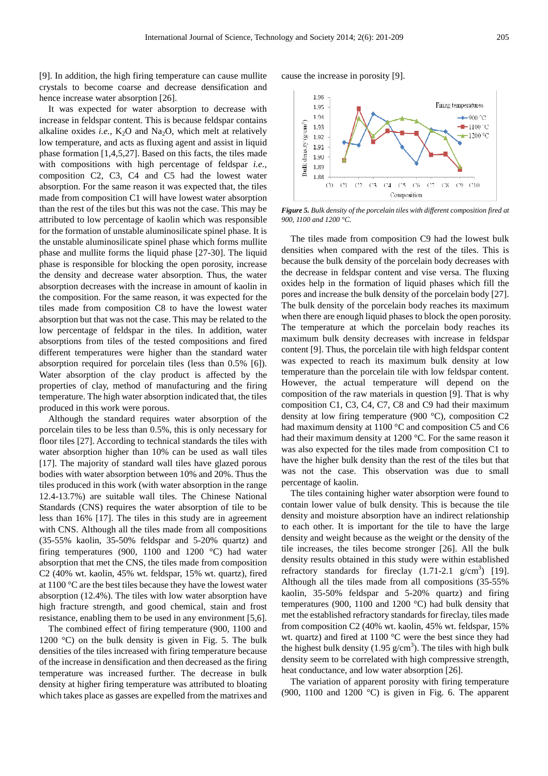It was expected for water absorption to decrease with increase in feldspar content. This is because feldspar contains alkaline oxides *i.e.*,  $K_2O$  and  $Na_2O$ , which melt at relatively low temperature, and acts as fluxing agent and assist in liquid phase formation [1,4,5,27]. Based on this facts, the tiles made with compositions with high percentage of feldspar *i.e.*, composition C2, C3, C4 and C5 had the lowest water absorption. For the same reason it was expected that, the tiles made from composition C1 will have lowest water absorption than the rest of the tiles but this was not the case. This may be attributed to low percentage of kaolin which was responsible for the formation of unstable aluminosilicate spinel phase. It is the unstable aluminosilicate spinel phase which forms mullite phase and mullite forms the liquid phase [27-30]. The liquid phase is responsible for blocking the open porosity, increase the density and decrease water absorption. Thus, the water absorption decreases with the increase in amount of kaolin in the composition. For the same reason, it was expected for the tiles made from composition C8 to have the lowest water absorption but that was not the case. This may be related to the low percentage of feldspar in the tiles. In addition, water absorptions from tiles of the tested compositions and fired different temperatures were higher than the standard water absorption required for porcelain tiles (less than 0.5% [6]). Water absorption of the clay product is affected by the properties of clay, method of manufacturing and the firing temperature. The high water absorption indicated that, the tiles produced in this work were porous.

Although the standard requires water absorption of the porcelain tiles to be less than 0.5%, this is only necessary for floor tiles [27]. According to technical standards the tiles with water absorption higher than 10% can be used as wall tiles [17]. The majority of standard wall tiles have glazed porous bodies with water absorption between 10% and 20%. Thus the tiles produced in this work (with water absorption in the range 12.4-13.7%) are suitable wall tiles. The Chinese National Standards (CNS) requires the water absorption of tile to be less than 16% [17]. The tiles in this study are in agreement with CNS. Although all the tiles made from all compositions (35-55% kaolin, 35-50% feldspar and 5-20% quartz) and firing temperatures (900, 1100 and 1200 °C) had water absorption that met the CNS, the tiles made from composition C2 (40% wt. kaolin, 45% wt. feldspar, 15% wt. quartz), fired at 1100 °C are the best tiles because they have the lowest water absorption (12.4%). The tiles with low water absorption have high fracture strength, and good chemical, stain and frost resistance, enabling them to be used in any environment [5,6].

The combined effect of firing temperature (900, 1100 and 1200 °C) on the bulk density is given in Fig. 5. The bulk densities of the tiles increased with firing temperature because of the increase in densification and then decreased as the firing temperature was increased further. The decrease in bulk density at higher firing temperature was attributed to bloating which takes place as gasses are expelled from the matrixes and

cause the increase in porosity [9].



*Figure 5. Bulk density of the porcelain tiles with different composition fired at 900, 1100 and 1200 °C.* 

The tiles made from composition C9 had the lowest bulk densities when compared with the rest of the tiles. This is because the bulk density of the porcelain body decreases with the decrease in feldspar content and vise versa. The fluxing oxides help in the formation of liquid phases which fill the pores and increase the bulk density of the porcelain body [27]. The bulk density of the porcelain body reaches its maximum when there are enough liquid phases to block the open porosity. The temperature at which the porcelain body reaches its maximum bulk density decreases with increase in feldspar content [9]. Thus, the porcelain tile with high feldspar content was expected to reach its maximum bulk density at low temperature than the porcelain tile with low feldspar content. However, the actual temperature will depend on the composition of the raw materials in question [9]. That is why composition C1, C3, C4, C7, C8 and C9 had their maximum density at low firing temperature (900 °C), composition C2 had maximum density at 1100 °C and composition C5 and C6 had their maximum density at 1200 °C. For the same reason it was also expected for the tiles made from composition C1 to have the higher bulk density than the rest of the tiles but that was not the case. This observation was due to small percentage of kaolin.

The tiles containing higher water absorption were found to contain lower value of bulk density. This is because the tile density and moisture absorption have an indirect relationship to each other. It is important for the tile to have the large density and weight because as the weight or the density of the tile increases, the tiles become stronger [26]. All the bulk density results obtained in this study were within established refractory standards for fireclay  $(1.71-2.1 \text{ g/cm}^3)$  [19]. Although all the tiles made from all compositions (35-55% kaolin, 35-50% feldspar and 5-20% quartz) and firing temperatures (900, 1100 and 1200 °C) had bulk density that met the established refractory standards for fireclay, tiles made from composition C2 (40% wt. kaolin, 45% wt. feldspar, 15% wt. quartz) and fired at 1100 °C were the best since they had the highest bulk density (1.95  $g/cm<sup>3</sup>$ ). The tiles with high bulk density seem to be correlated with high compressive strength, heat conductance, and low water absorption [26].

The variation of apparent porosity with firing temperature (900, 1100 and 1200  $^{\circ}$ C) is given in Fig. 6. The apparent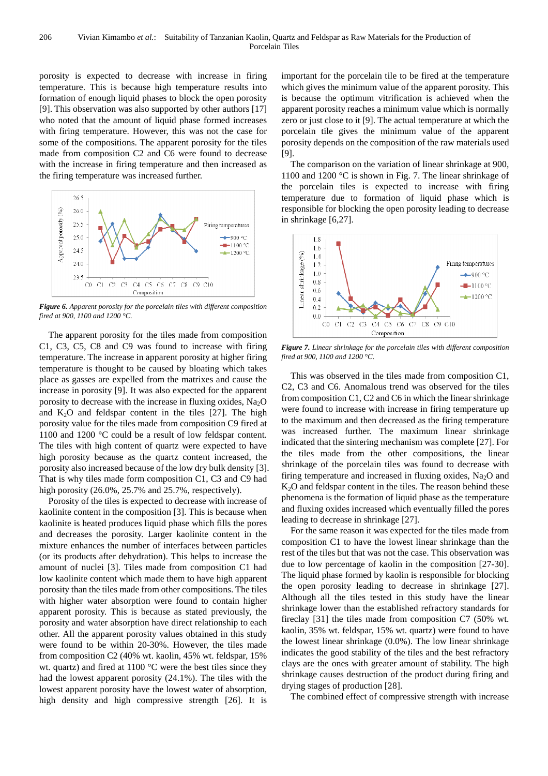porosity is expected to decrease with increase in firing temperature. This is because high temperature results into formation of enough liquid phases to block the open porosity [9]. This observation was also supported by other authors [17] who noted that the amount of liquid phase formed increases with firing temperature. However, this was not the case for some of the compositions. The apparent porosity for the tiles made from composition C2 and C6 were found to decrease with the increase in firing temperature and then increased as the firing temperature was increased further.



*Figure 6. Apparent porosity for the porcelain tiles with different composition fired at 900, 1100 and 1200 °C.* 

The apparent porosity for the tiles made from composition C1, C3, C5, C8 and C9 was found to increase with firing temperature. The increase in apparent porosity at higher firing temperature is thought to be caused by bloating which takes place as gasses are expelled from the matrixes and cause the increase in porosity [9]. It was also expected for the apparent porosity to decrease with the increase in fluxing oxides,  $Na<sub>2</sub>O$ and  $K_2O$  and feldspar content in the tiles [27]. The high porosity value for the tiles made from composition C9 fired at 1100 and 1200 °C could be a result of low feldspar content. The tiles with high content of quartz were expected to have high porosity because as the quartz content increased, the porosity also increased because of the low dry bulk density [3]. That is why tiles made form composition C1, C3 and C9 had high porosity  $(26.0\%, 25.7\%$  and  $25.7\%,$  respectively).

Porosity of the tiles is expected to decrease with increase of kaolinite content in the composition [3]. This is because when kaolinite is heated produces liquid phase which fills the pores and decreases the porosity. Larger kaolinite content in the mixture enhances the number of interfaces between particles (or its products after dehydration). This helps to increase the amount of nuclei [3]. Tiles made from composition C1 had low kaolinite content which made them to have high apparent porosity than the tiles made from other compositions. The tiles with higher water absorption were found to contain higher apparent porosity. This is because as stated previously, the porosity and water absorption have direct relationship to each other. All the apparent porosity values obtained in this study were found to be within 20-30%. However, the tiles made from composition C2 (40% wt. kaolin, 45% wt. feldspar, 15% wt. quartz) and fired at 1100 °C were the best tiles since they had the lowest apparent porosity (24.1%). The tiles with the lowest apparent porosity have the lowest water of absorption, high density and high compressive strength [26]. It is

important for the porcelain tile to be fired at the temperature which gives the minimum value of the apparent porosity. This is because the optimum vitrification is achieved when the apparent porosity reaches a minimum value which is normally zero or just close to it [9]. The actual temperature at which the porcelain tile gives the minimum value of the apparent porosity depends on the composition of the raw materials used [9].

The comparison on the variation of linear shrinkage at 900, 1100 and 1200 °C is shown in Fig. 7. The linear shrinkage of the porcelain tiles is expected to increase with firing temperature due to formation of liquid phase which is responsible for blocking the open porosity leading to decrease in shrinkage [6,27].



*Figure 7. Linear shrinkage for the porcelain tiles with different composition fired at 900, 1100 and 1200 °C.* 

This was observed in the tiles made from composition C1, C2, C3 and C6. Anomalous trend was observed for the tiles from composition C1, C2 and C6 in which the linear shrinkage were found to increase with increase in firing temperature up to the maximum and then decreased as the firing temperature was increased further. The maximum linear shrinkage indicated that the sintering mechanism was complete [27]. For the tiles made from the other compositions, the linear shrinkage of the porcelain tiles was found to decrease with firing temperature and increased in fluxing oxides,  $Na<sub>2</sub>O$  and K2O and feldspar content in the tiles. The reason behind these phenomena is the formation of liquid phase as the temperature and fluxing oxides increased which eventually filled the pores leading to decrease in shrinkage [27].

For the same reason it was expected for the tiles made from composition C1 to have the lowest linear shrinkage than the rest of the tiles but that was not the case. This observation was due to low percentage of kaolin in the composition [27-30]. The liquid phase formed by kaolin is responsible for blocking the open porosity leading to decrease in shrinkage [27]. Although all the tiles tested in this study have the linear shrinkage lower than the established refractory standards for fireclay [31] the tiles made from composition C7 (50% wt. kaolin, 35% wt. feldspar, 15% wt. quartz) were found to have the lowest linear shrinkage (0.0%). The low linear shrinkage indicates the good stability of the tiles and the best refractory clays are the ones with greater amount of stability. The high shrinkage causes destruction of the product during firing and drying stages of production [28].

The combined effect of compressive strength with increase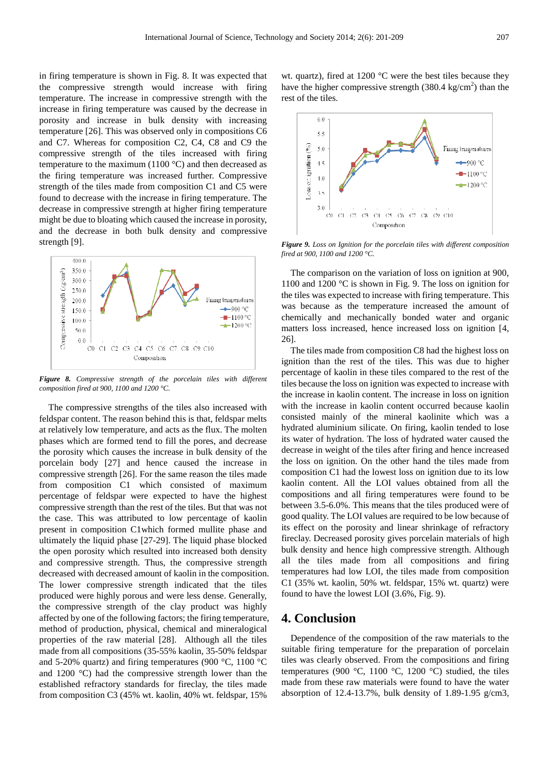in firing temperature is shown in Fig. 8. It was expected that the compressive strength would increase with firing temperature. The increase in compressive strength with the increase in firing temperature was caused by the decrease in porosity and increase in bulk density with increasing temperature [26]. This was observed only in compositions C6 and C7. Whereas for composition C2, C4, C8 and C9 the compressive strength of the tiles increased with firing temperature to the maximum (1100 $\degree$ C) and then decreased as the firing temperature was increased further. Compressive strength of the tiles made from composition C1 and C5 were found to decrease with the increase in firing temperature. The decrease in compressive strength at higher firing temperature might be due to bloating which caused the increase in porosity, and the decrease in both bulk density and compressive strength [9].



*Figure 8. Compressive strength of the porcelain tiles with different composition fired at 900, 1100 and 1200 °C.* 

The compressive strengths of the tiles also increased with feldspar content. The reason behind this is that, feldspar melts at relatively low temperature, and acts as the flux. The molten phases which are formed tend to fill the pores, and decrease the porosity which causes the increase in bulk density of the porcelain body [27] and hence caused the increase in compressive strength [26]. For the same reason the tiles made from composition C1 which consisted of maximum percentage of feldspar were expected to have the highest compressive strength than the rest of the tiles. But that was not the case. This was attributed to low percentage of kaolin present in composition C1which formed mullite phase and ultimately the liquid phase [27-29]. The liquid phase blocked the open porosity which resulted into increased both density and compressive strength. Thus, the compressive strength decreased with decreased amount of kaolin in the composition. The lower compressive strength indicated that the tiles produced were highly porous and were less dense. Generally, the compressive strength of the clay product was highly affected by one of the following factors; the firing temperature, method of production, physical, chemical and mineralogical properties of the raw material [28]. Although all the tiles made from all compositions (35-55% kaolin, 35-50% feldspar and 5-20% quartz) and firing temperatures (900 °C, 1100 °C and 1200 °C) had the compressive strength lower than the established refractory standards for fireclay, the tiles made from composition C3 (45% wt. kaolin, 40% wt. feldspar, 15%

wt. quartz), fired at 1200 °C were the best tiles because they have the higher compressive strength  $(380.4 \text{ kg/cm}^2)$  than the rest of the tiles.



*Figure 9. Loss on Ignition for the porcelain tiles with different composition fired at 900, 1100 and 1200 °C.* 

The comparison on the variation of loss on ignition at 900, 1100 and 1200 °C is shown in Fig. 9. The loss on ignition for the tiles was expected to increase with firing temperature. This was because as the temperature increased the amount of chemically and mechanically bonded water and organic matters loss increased, hence increased loss on ignition [4, 26].

The tiles made from composition C8 had the highest loss on ignition than the rest of the tiles. This was due to higher percentage of kaolin in these tiles compared to the rest of the tiles because the loss on ignition was expected to increase with the increase in kaolin content. The increase in loss on ignition with the increase in kaolin content occurred because kaolin consisted mainly of the mineral kaolinite which was a hydrated aluminium silicate. On firing, kaolin tended to lose its water of hydration. The loss of hydrated water caused the decrease in weight of the tiles after firing and hence increased the loss on ignition. On the other hand the tiles made from composition C1 had the lowest loss on ignition due to its low kaolin content. All the LOI values obtained from all the compositions and all firing temperatures were found to be between 3.5-6.0%. This means that the tiles produced were of good quality. The LOI values are required to be low because of its effect on the porosity and linear shrinkage of refractory fireclay. Decreased porosity gives porcelain materials of high bulk density and hence high compressive strength. Although all the tiles made from all compositions and firing temperatures had low LOI, the tiles made from composition C1 (35% wt. kaolin, 50% wt. feldspar, 15% wt. quartz) were found to have the lowest LOI (3.6%, Fig. 9).

## **4. Conclusion**

Dependence of the composition of the raw materials to the suitable firing temperature for the preparation of porcelain tiles was clearly observed. From the compositions and firing temperatures (900 °C, 1100 °C, 1200 °C) studied, the tiles made from these raw materials were found to have the water absorption of 12.4-13.7%, bulk density of 1.89-1.95 g/cm3,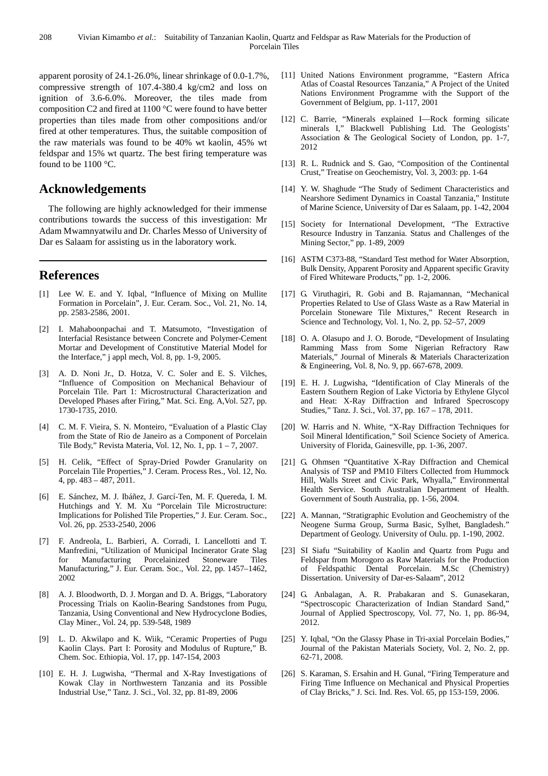apparent porosity of 24.1-26.0%, linear shrinkage of 0.0-1.7%, compressive strength of 107.4-380.4 kg/cm2 and loss on ignition of 3.6-6.0%. Moreover, the tiles made from composition C2 and fired at 1100 °C were found to have better properties than tiles made from other compositions and/or fired at other temperatures. Thus, the suitable composition of the raw materials was found to be 40% wt kaolin, 45% wt feldspar and 15% wt quartz. The best firing temperature was found to be 1100 °C.

# **Acknowledgements**

The following are highly acknowledged for their immense contributions towards the success of this investigation: Mr Adam Mwamnyatwilu and Dr. Charles Messo of University of Dar es Salaam for assisting us in the laboratory work.

# **References**

- [1] Lee W. E. and Y. Iqbal, "Influence of Mixing on Mullite Formation in Porcelain", J. Eur. Ceram. Soc., Vol. 21, No. 14, pp. 2583-2586, 2001.
- [2] I. Mahaboonpachai and T. Matsumoto, "Investigation of Interfacial Resistance between Concrete and Polymer-Cement Mortar and Development of Constitutive Material Model for the Interface," j appl mech, Vol. 8, pp. 1-9, 2005.
- [3] A. D. Noni Jr., D. Hotza, V. C. Soler and E. S. Vilches, "Influence of Composition on Mechanical Behaviour of Porcelain Tile. Part 1: Microstructural Characterization and Developed Phases after Firing," Mat. Sci. Eng. A,Vol. 527, pp. 1730-1735, 2010.
- [4] C. M. F. Vieira, S. N. Monteiro, "Evaluation of a Plastic Clay from the State of Rio de Janeiro as a Component of Porcelain Tile Body," Revista Materia, Vol. 12, No. 1, pp. 1 – 7, 2007.
- [5] H. Celik, "Effect of Spray-Dried Powder Granularity on Porcelain Tile Properties," J. Ceram. Process Res., Vol. 12, No. 4, pp. 483 – 487, 2011.
- [6] E. Sánchez, M. J. Ibáñez, J. Garcí-Ten, M. F. Quereda, I. M. Hutchings and Y. M. Xu "Porcelain Tile Microstructure: Implications for Polished Tile Properties," J. Eur. Ceram. Soc., Vol. 26, pp. 2533-2540, 2006
- [7] F. Andreola, L. Barbieri, A. Corradi, I. Lancellotti and T. Manfredini, "Utilization of Municipal Incinerator Grate Slag for Manufacturing Porcelainized Stoneware Tiles Manufacturing," J. Eur. Ceram. Soc., Vol. 22, pp. 1457–1462, 2002
- [8] A. J. Bloodworth, D. J. Morgan and D. A. Briggs, "Laboratory Processing Trials on Kaolin-Bearing Sandstones from Pugu, Tanzania, Using Conventional and New Hydrocyclone Bodies, Clay Miner., Vol. 24, pp. 539-548, 1989
- [9] L. D. Akwilapo and K. Wiik, "Ceramic Properties of Pugu Kaolin Clays. Part I: Porosity and Modulus of Rupture," B. Chem. Soc. Ethiopia, Vol. 17, pp. 147-154, 2003
- [10] E. H. J. Lugwisha, "Thermal and X-Ray Investigations of Kowak Clay in Northwestern Tanzania and its Possible Industrial Use," Tanz. J. Sci., Vol. 32, pp. 81-89, 2006
- [11] United Nations Environment programme, "Eastern Africa Atlas of Coastal Resources Tanzania," A Project of the United Nations Environment Programme with the Support of the Government of Belgium, pp. 1-117, 2001
- [12] C. Barrie, "Minerals explained I—Rock forming silicate minerals I," Blackwell Publishing Ltd. The Geologists' Association & The Geological Society of London, pp. 1-7, 2012
- [13] R. L. Rudnick and S. Gao, "Composition of the Continental Crust," Treatise on Geochemistry, Vol. 3, 2003: pp. 1-64
- [14] Y. W. Shaghude "The Study of Sediment Characteristics and Nearshore Sediment Dynamics in Coastal Tanzania," Institute of Marine Science, University of Dar es Salaam, pp. 1-42, 2004
- [15] Society for International Development, "The Extractive Resource Industry in Tanzania. Status and Challenges of the Mining Sector," pp. 1-89, 2009
- [16] ASTM C373-88, "Standard Test method for Water Absorption, Bulk Density, Apparent Porosity and Apparent specific Gravity of Fired Whiteware Products," pp. 1-2, 2006.
- [17] G. Viruthagiri, R. Gobi and B. Rajamannan, "Mechanical Properties Related to Use of Glass Waste as a Raw Material in Porcelain Stoneware Tile Mixtures," Recent Research in Science and Technology, Vol. 1, No. 2, pp. 52–57, 2009
- [18] O. A. Olasupo and J. O. Borode, "Development of Insulating Ramming Mass from Some Nigerian Refractory Raw Materials," Journal of Minerals & Materials Characterization & Engineering, Vol. 8, No. 9, pp. 667-678, 2009.
- [19] E. H. J. Lugwisha, "Identification of Clay Minerals of the Eastern Southern Region of Lake Victoria by Ethylene Glycol and Heat: X-Ray Diffraction and Infrared Specroscopy Studies," Tanz. J. Sci., Vol. 37, pp. 167 – 178, 2011.
- [20] W. Harris and N. White, "X-Ray Diffraction Techniques for Soil Mineral Identification," Soil Science Society of America. University of Florida, Gainesville, pp. 1-36, 2007.
- [21] G. Ohmsen "Quantitative X-Ray Diffraction and Chemical Analysis of TSP and PM10 Filters Collected from Hummock Hill, Walls Street and Civic Park, Whyalla," Environmental Health Service. South Australian Department of Health. Government of South Australia, pp. 1-56, 2004.
- [22] A. Mannan, "Stratigraphic Evolution and Geochemistry of the Neogene Surma Group, Surma Basic, Sylhet, Bangladesh." Department of Geology. University of Oulu. pp. 1-190, 2002.
- [23] SI Siafu "Suitability of Kaolin and Quartz from Pugu and Feldspar from Morogoro as Raw Materials for the Production of Feldspathic Dental Porcelain. M.Sc (Chemistry) Dissertation. University of Dar-es-Salaam", 2012
- [24] G. Anbalagan, A. R. Prabakaran and S. Gunasekaran, "Spectroscopic Characterization of Indian Standard Sand," Journal of Applied Spectroscopy, Vol. 77, No. 1, pp. 86-94, 2012.
- [25] Y. Iqbal, "On the Glassy Phase in Tri-axial Porcelain Bodies," Journal of the Pakistan Materials Society, Vol. 2, No. 2, pp. 62-71, 2008.
- [26] S. Karaman, S. Ersahin and H. Gunal, "Firing Temperature and Firing Time Influence on Mechanical and Physical Properties of Clay Bricks," J. Sci. Ind. Res. Vol. 65, pp 153-159, 2006.